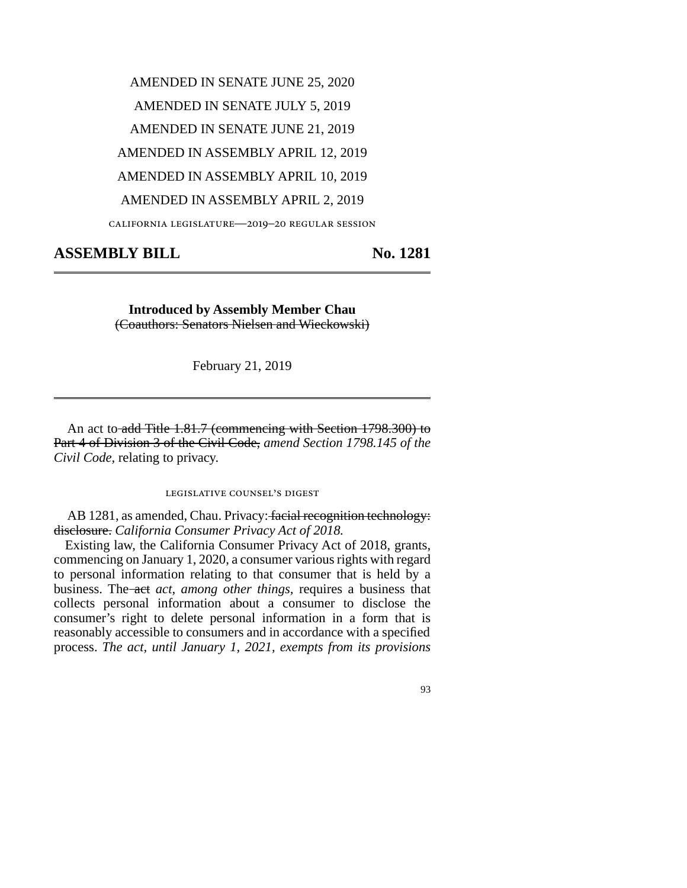## AMENDED IN SENATE JUNE 25, 2020 AMENDED IN SENATE JULY 5, 2019

AMENDED IN SENATE JUNE 21, 2019

AMENDED IN ASSEMBLY APRIL 12, 2019

AMENDED IN ASSEMBLY APRIL 10, 2019

AMENDED IN ASSEMBLY APRIL 2, 2019

california legislature—2019–20 regular session

## **ASSEMBLY BILL No. 1281**

**Introduced by Assembly Member Chau**  (Coauthors: Senators Nielsen and Wieckowski)

February 21, 2019

An act to add Title 1.81.7 (commencing with Section 1798.300) to Part 4 of Division 3 of the Civil Code, *amend Section 1798.145 of the Civil Code,* relating to privacy.

legislative counsel's digest

AB 1281, as amended, Chau. Privacy: facial recognition technology: disclosure. *California Consumer Privacy Act of 2018.*

Existing law, the California Consumer Privacy Act of 2018, grants, commencing on January 1, 2020, a consumer various rights with regard to personal information relating to that consumer that is held by a business. The act *act, among other things,* requires a business that collects personal information about a consumer to disclose the consumer's right to delete personal information in a form that is reasonably accessible to consumers and in accordance with a specified process. *The act, until January 1, 2021, exempts from its provisions*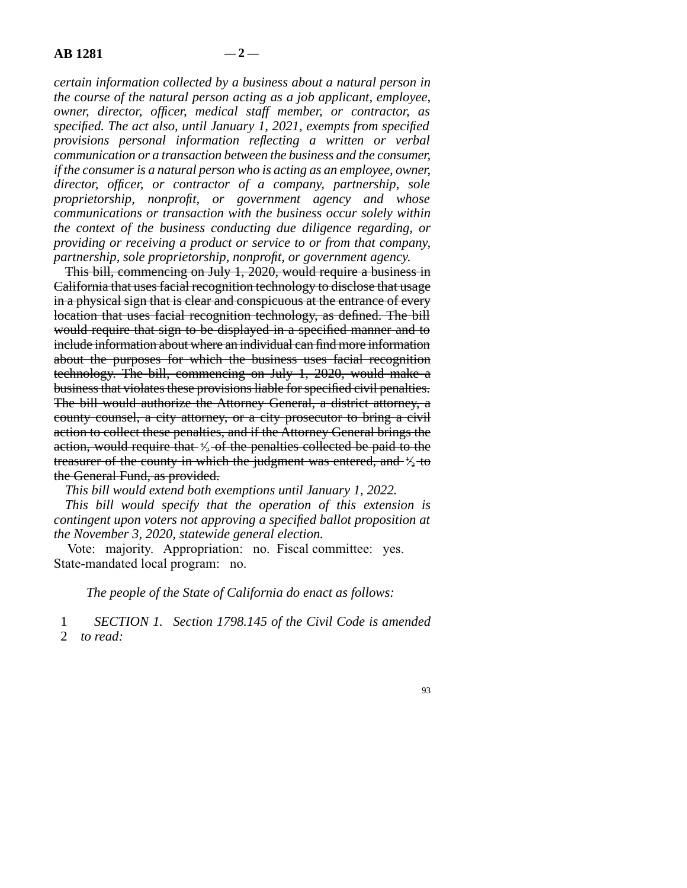*certain information collected by a business about a natural person in the course of the natural person acting as a job applicant, employee, owner, director, officer, medical staff member, or contractor, as specified. The act also, until January 1, 2021, exempts from specified provisions personal information reflecting a written or verbal communication or a transaction between the business and the consumer, if the consumer is a natural person who is acting as an employee, owner, director, officer, or contractor of a company, partnership, sole proprietorship, nonprofit, or government agency and whose communications or transaction with the business occur solely within the context of the business conducting due diligence regarding, or providing or receiving a product or service to or from that company, partnership, sole proprietorship, nonprofit, or government agency.*

This bill, commencing on July 1, 2020, would require a business in California that uses facial recognition technology to disclose that usage in a physical sign that is clear and conspicuous at the entrance of every location that uses facial recognition technology, as defined. The bill would require that sign to be displayed in a specified manner and to include information about where an individual can find more information about the purposes for which the business uses facial recognition technology. The bill, commencing on July 1, 2020, would make a business that violates these provisions liable for specified civil penalties. The bill would authorize the Attorney General, a district attorney, a county counsel, a city attorney, or a city prosecutor to bring a civil action to collect these penalties, and if the Attorney General brings the action, would require that  $\frac{1}{2}$  of the penalties collected be paid to the treasurer of the county in which the judgment was entered, and  $\frac{1}{2}$  to the General Fund, as provided.

*This bill would extend both exemptions until January 1, 2022.* 

*This bill would specify that the operation of this extension is contingent upon voters not approving a specified ballot proposition at the November 3, 2020, statewide general election.* 

Vote: majority. Appropriation: no. Fiscal committee: yes. State-mandated local program: no.

*The people of the State of California do enact as follows:* 

 line 1 *SECTION 1. Section 1798.145 of the Civil Code is amended*  2 to read: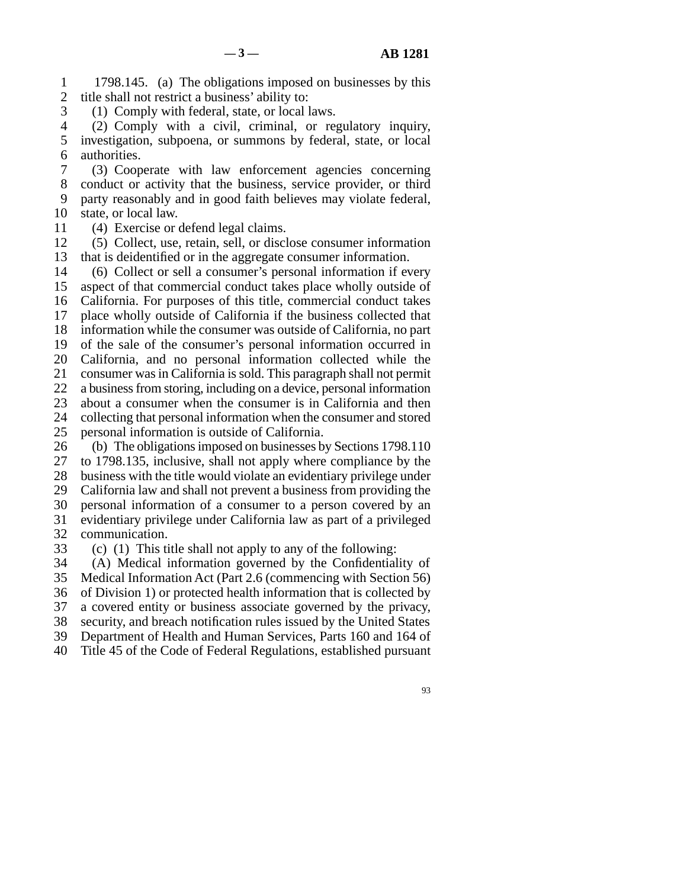1 1798.145. (a) The obligations imposed on businesses by this 2 title shall not restrict a business' ability to:

3 (1) Comply with federal, state, or local laws.

4 (2) Comply with a civil, criminal, or regulatory inquiry, 5 investigation, subpoena, or summons by federal, state, or local 6 authorities.

7 (3) Cooperate with law enforcement agencies concerning 8 conduct or activity that the business, service provider, or third 9 party reasonably and in good faith believes may violate federal, 10 state, or local law.

11 (4) Exercise or defend legal claims.

12 (5) Collect, use, retain, sell, or disclose consumer information

13 that is deidentified or in the aggregate consumer information.

14 (6) Collect or sell a consumer's personal information if every 15 aspect of that commercial conduct takes place wholly outside of 16 California. For purposes of this title, commercial conduct takes 17 place wholly outside of California if the business collected that 18 information while the consumer was outside of California, no part 19 of the sale of the consumer's personal information occurred in 20 California, and no personal information collected while the 21 consumer was in California is sold. This paragraph shall not permit 22 a business from storing, including on a device, personal information 23 about a consumer when the consumer is in California and then 24 collecting that personal information when the consumer and stored<br>25 personal information is outside of California. personal information is outside of California. 26 (b) The obligations imposed on businesses by Sections 1798.110 27 to 1798.135, inclusive, shall not apply where compliance by the

28 business with the title would violate an evidentiary privilege under 29 California law and shall not prevent a business from providing the 30 personal information of a consumer to a person covered by an 31 evidentiary privilege under California law as part of a privileged 32 communication.

33 (c) (1) This title shall not apply to any of the following:

34 (A) Medical information governed by the Confidentiality of 35 Medical Information Act (Part 2.6 (commencing with Section 56) 36 of Division 1) or protected health information that is collected by

37 a covered entity or business associate governed by the privacy,

38 security, and breach notification rules issued by the United States

39 Department of Health and Human Services, Parts 160 and 164 of

40 Title 45 of the Code of Federal Regulations, established pursuant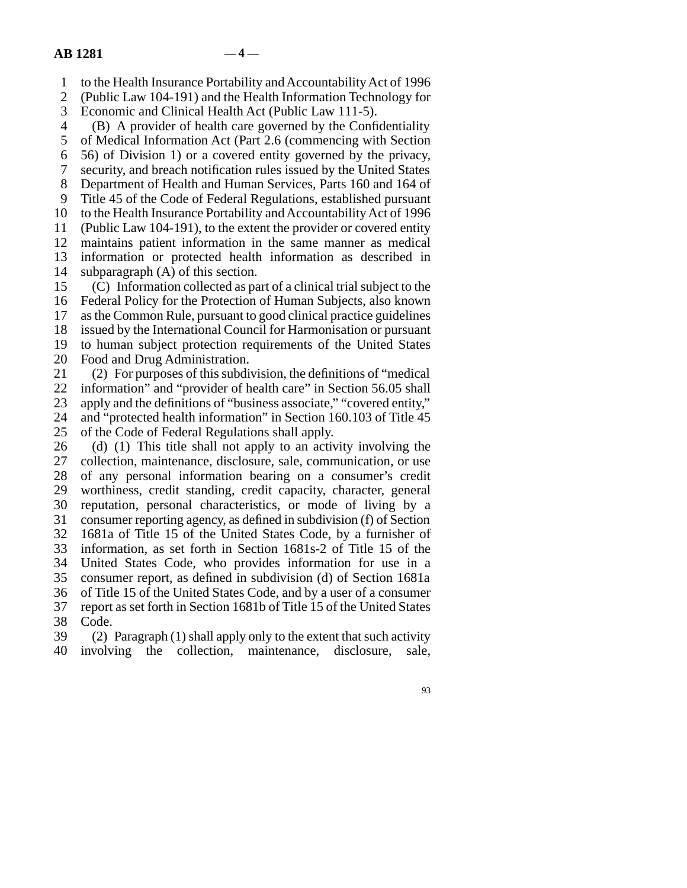line 1 to the Health Insurance Portability and Accountability Act of 1996

2 (Public Law 104-191) and the Health Information Technology for<br>3 Economic and Clinical Health Act (Public Law 111-5).

Economic and Clinical Health Act (Public Law 111-5).

4 (B) A provider of health care governed by the Confidentiality

5 of Medical Information Act (Part 2.6 (commencing with Section

line 6 56) of Division 1) or a covered entity governed by the privacy,

7 security, and breach notification rules issued by the United States

8 Department of Health and Human Services, Parts 160 and 164 of

9 Title 45 of the Code of Federal Regulations, established pursuant

10 to the Health Insurance Portability and Accountability Act of 1996 11 (Public Law 104-191), to the extent the provider or covered entity

12 maintains patient information in the same manner as medical

13 information or protected health information as described in 14 subparagraph  $(A)$  of this section.

 $15$  (C) Information collected as part of a clinical trial subject to the 16 Federal Policy for the Protection of Human Subjects, also known 17 as the Common Rule, pursuant to good clinical practice guidelines 18 issued by the International Council for Harmonisation or pursuant

19 to human subject protection requirements of the United States

20 Food and Drug Administration.

21  $(2)$  For purposes of this subdivision, the definitions of "medical" 22 information" and "provider of health care" in Section 56.05 shall 23 apply and the definitions of "business associate," "covered entity," 24 and "protected health information" in Section 160.103 of Title 45<br>25 of the Code of Federal Regulations shall apply. of the Code of Federal Regulations shall apply.

26 (d) (1) This title shall not apply to an activity involving the collection, maintenance, disclosure, sale, communication, or use collection, maintenance, disclosure, sale, communication, or use 28 of any personal information bearing on a consumer's credit 29 worthiness, credit standing, credit capacity, character, general 30 reputation, personal characteristics, or mode of living by a 31 consumer reporting agency, as defined in subdivision (f) of Section 32 1681a of Title 15 of the United States Code, by a furnisher of 33 information, as set forth in Section 1681s-2 of Title 15 of the 34 United States Code, who provides information for use in a 35 consumer report, as defined in subdivision (d) of Section 1681a 36 of Title 15 of the United States Code, and by a user of a consumer 37 report as set forth in Section 1681b of Title 15 of the United States 38 Code.

39 (2) Paragraph (1) shall apply only to the extent that such activity 40 involving the collection, maintenance, disclosure, sale,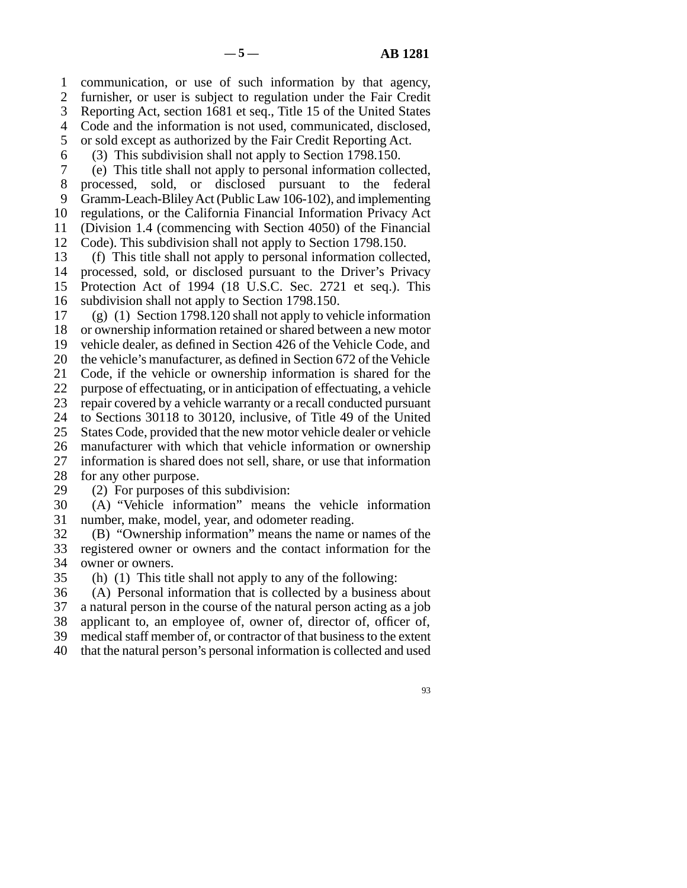1 communication, or use of such information by that agency, 2 furnisher, or user is subject to regulation under the Fair Credit 3 Reporting Act, section 1681 et seq., Title 15 of the United States 4 Code and the information is not used, communicated, disclosed, 5 or sold except as authorized by the Fair Credit Reporting Act.

line 6 (3) This subdivision shall not apply to Section 1798.150.

7 (e) This title shall not apply to personal information collected, 8 processed, sold, or disclosed pursuant to the federal 9 Gramm-Leach-Bliley Act (Public Law 106-102), and implementing 10 regulations, or the California Financial Information Privacy Act 11 (Division 1.4 (commencing with Section 4050) of the Financial 12 Code). This subdivision shall not apply to Section 1798.150.

13 (f) This title shall not apply to personal information collected, 14 processed, sold, or disclosed pursuant to the Driver's Privacy 15 Protection Act of 1994 (18 U.S.C. Sec. 2721 et seq.). This 16 subdivision shall not apply to Section 1798.150.

17 (g) (1) Section 1798.120 shall not apply to vehicle information 18 or ownership information retained or shared between a new motor 19 vehicle dealer, as defined in Section 426 of the Vehicle Code, and 20 the vehicle's manufacturer, as defined in Section 672 of the Vehicle 21 Code, if the vehicle or ownership information is shared for the 22 purpose of effectuating, or in anticipation of effectuating, a vehicle 23 repair covered by a vehicle warranty or a recall conducted pursuant 24 to Sections 30118 to 30120, inclusive, of Title 49 of the United 25 States Code, provided that the new motor vehicle dealer or vehicle States Code, provided that the new motor vehicle dealer or vehicle 26 manufacturer with which that vehicle information or ownership 27 information is shared does not sell, share, or use that information 28 for any other purpose.

29  $(2)$  For purposes of this subdivision:

30 (A) "Vehicle information" means the vehicle information 31 number, make, model, year, and odometer reading.

32 (B) "Ownership information" means the name or names of the 33 registered owner or owners and the contact information for the 34 owner or owners.

35 (h) (1) This title shall not apply to any of the following:

36 (A) Personal information that is collected by a business about 37 a natural person in the course of the natural person acting as a job 38 applicant to, an employee of, owner of, director of, officer of, 39 medical staff member of, or contractor of that business to the extent 40 that the natural person's personal information is collected and used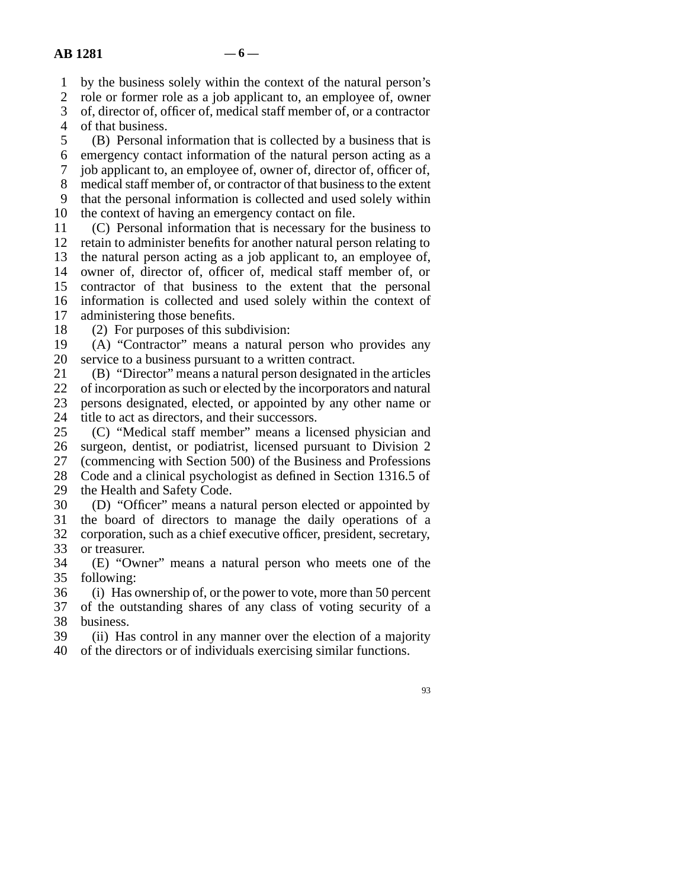line 1 by the business solely within the context of the natural person's

2 role or former role as a job applicant to, an employee of, owner<br>3 of, director of, officer of, medical staff member of, or a contractor

of, director of, officer of, medical staff member of, or a contractor

4 of that business.

5 (B) Personal information that is collected by a business that is

6 emergency contact information of the natural person acting as a

line 7 job applicant to, an employee of, owner of, director of, officer of,

8 medical staff member of, or contractor of that business to the extent

9 that the personal information is collected and used solely within

10 the context of having an emergency contact on file.

11 (C) Personal information that is necessary for the business to 12 retain to administer benefits for another natural person relating to 13 the natural person acting as a job applicant to, an employee of, 14 owner of, director of, officer of, medical staff member of, or 15 contractor of that business to the extent that the personal 16 information is collected and used solely within the context of 17 administering those benefits.

 $18$  (2) For purposes of this subdivision:

19 (A) "Contractor" means a natural person who provides any 20 service to a business pursuant to a written contract.

21 (B) "Director" means a natural person designated in the articles 22 of incorporation as such or elected by the incorporators and natural 23 persons designated, elected, or appointed by any other name or

24 title to act as directors, and their successors.<br>25 (C) "Medical staff member" means a lic line 25 (C) "Medical staff member" means a licensed physician and 26 surgeon, dentist, or podiatrist, licensed pursuant to Division 2 27 (commencing with Section 500) of the Business and Professions 28 Code and a clinical psychologist as defined in Section 1316.5 of 29 the Health and Safety Code.

30 (D) "Officer" means a natural person elected or appointed by 31 the board of directors to manage the daily operations of a 32 corporation, such as a chief executive officer, president, secretary,

33 or treasurer.

34 (E) "Owner" means a natural person who meets one of the 35 following:

36 (i) Has ownership of, or the power to vote, more than 50 percent 37 of the outstanding shares of any class of voting security of a 38 business.

39 (ii) Has control in any manner over the election of a majority 40 of the directors or of individuals exercising similar functions.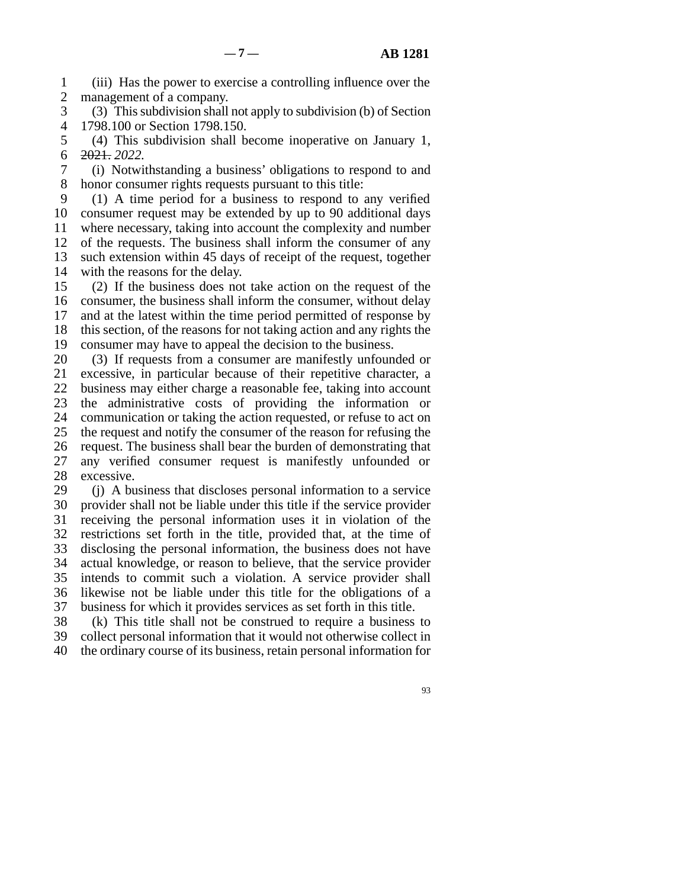line 1 (iii) Has the power to exercise a controlling influence over the 2 management of a company.

3 (3) This subdivision shall not apply to subdivision (b) of Section 4 1798.100 or Section 1798.150.

5 (4) This subdivision shall become inoperative on January 1, line 6 2021. *2022.*

 line 7 (i) Notwithstanding a business' obligations to respond to and 8 honor consumer rights requests pursuant to this title:

9 (1) A time period for a business to respond to any verified 10 consumer request may be extended by up to 90 additional days 11 where necessary, taking into account the complexity and number 12 of the requests. The business shall inform the consumer of any 13 such extension within 45 days of receipt of the request, together 14 with the reasons for the delay.

15 (2) If the business does not take action on the request of the 16 consumer, the business shall inform the consumer, without delay 17 and at the latest within the time period permitted of response by 18 this section, of the reasons for not taking action and any rights the

19 consumer may have to appeal the decision to the business.

20 (3) If requests from a consumer are manifestly unfounded or 21 excessive, in particular because of their repetitive character, a 22 business may either charge a reasonable fee, taking into account 23 the administrative costs of providing the information or 24 communication or taking the action requested, or refuse to act on 25 the request and notify the consumer of the reason for refusing the the request and notify the consumer of the reason for refusing the 26 request. The business shall bear the burden of demonstrating that 27 any verified consumer request is manifestly unfounded or 28 excessive.

29  $\qquad$  (j) A business that discloses personal information to a service 30 provider shall not be liable under this title if the service provider 31 receiving the personal information uses it in violation of the 32 restrictions set forth in the title, provided that, at the time of 33 disclosing the personal information, the business does not have 34 actual knowledge, or reason to believe, that the service provider 35 intends to commit such a violation. A service provider shall 36 likewise not be liable under this title for the obligations of a 37 business for which it provides services as set forth in this title.

38 (k) This title shall not be construed to require a business to 39 collect personal information that it would not otherwise collect in 40 the ordinary course of its business, retain personal information for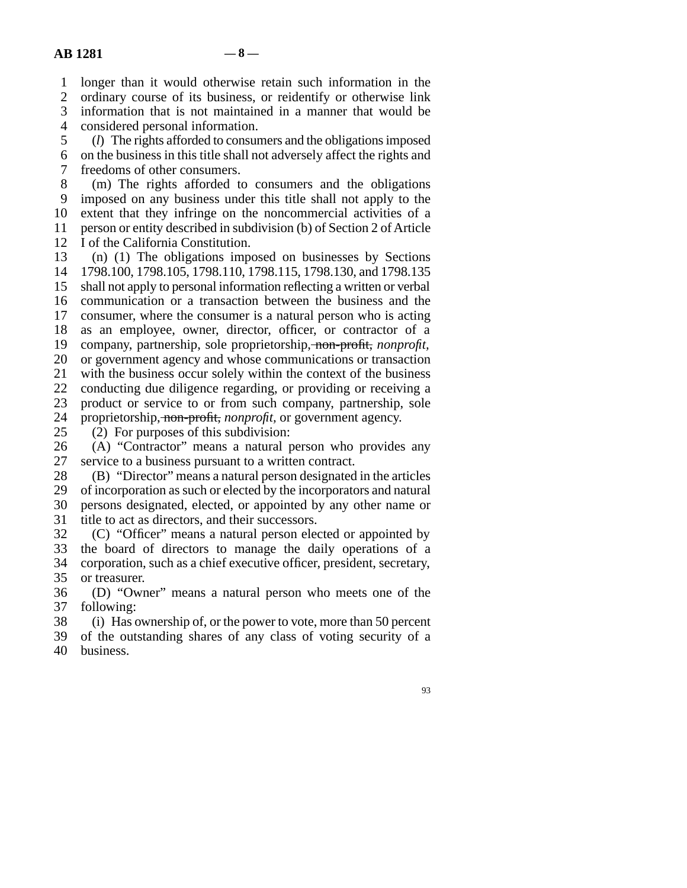line 1 longer than it would otherwise retain such information in the

2 ordinary course of its business, or reidentify or otherwise link<br>3 information that is not maintained in a manner that would be

information that is not maintained in a manner that would be 4 considered personal information.

5 (*l*) The rights afforded to consumers and the obligations imposed 6 on the business in this title shall not adversely affect the rights and 7 freedoms of other consumers.

8 (m) The rights afforded to consumers and the obligations 9 imposed on any business under this title shall not apply to the 10 extent that they infringe on the noncommercial activities of a 11 person or entity described in subdivision (b) of Section 2 of Article 12 I of the California Constitution.

13 (n) (1) The obligations imposed on businesses by Sections line 14 1798.100, 1798.105, 1798.110, 1798.115, 1798.130, and 1798.135 15 shall not apply to personal information reflecting a written or verbal 16 communication or a transaction between the business and the 17 consumer, where the consumer is a natural person who is acting 18 as an employee, owner, director, officer, or contractor of a 19 company, partnership, sole proprietorship, non-profit, *nonprofit*, 20 or government agency and whose communications or transaction 21 with the business occur solely within the context of the business 22 conducting due diligence regarding, or providing or receiving a 23 product or service to or from such company, partnership, sole 24 proprietorship, non-profit, *nonprofit*, or government agency.<br>25 (2) For purposes of this subdivision:

 $(2)$  For purposes of this subdivision:

26 (A) "Contractor" means a natural person who provides any service to a business pursuant to a written contract. service to a business pursuant to a written contract.

28 (B) "Director" means a natural person designated in the articles 29 of incorporation as such or elected by the incorporators and natural 30 persons designated, elected, or appointed by any other name or 31 title to act as directors, and their successors.

32 (C) "Officer" means a natural person elected or appointed by 33 the board of directors to manage the daily operations of a 34 corporation, such as a chief executive officer, president, secretary, 35 or treasurer.

36 (D) "Owner" means a natural person who meets one of the 37 following:

38 (i) Has ownership of, or the power to vote, more than 50 percent

39 of the outstanding shares of any class of voting security of a 40 business.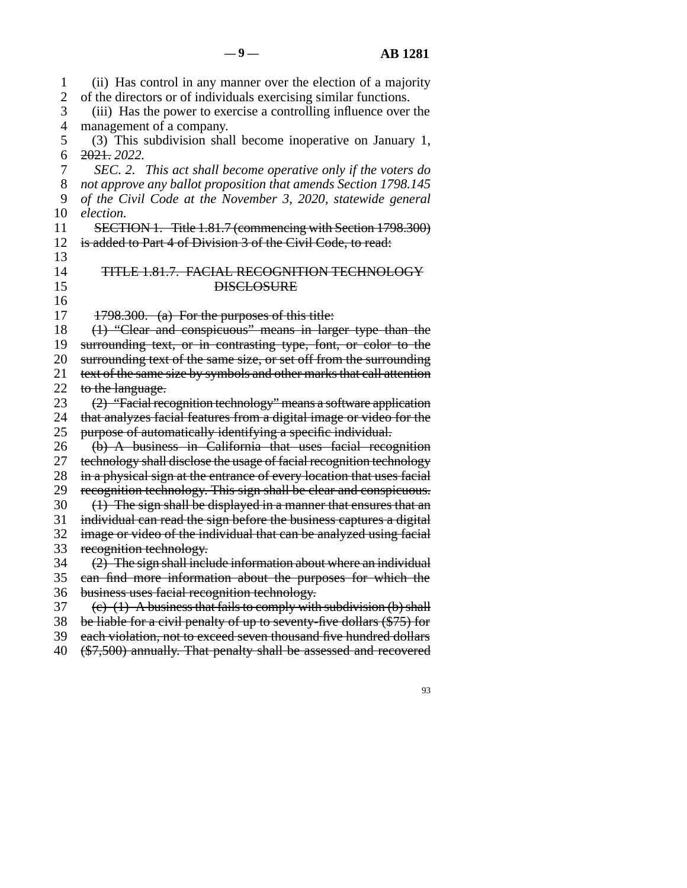line 1 (ii) Has control in any manner over the election of a majority 2 of the directors or of individuals exercising similar functions. line 3 (iii) Has the power to exercise a controlling influence over the 4 management of a company. 5 (3) This subdivision shall become inoperative on January 1, line 6 2021. *2022.* line 7 *SEC. 2. This act shall become operative only if the voters do*  8 *not approve any ballot proposition that amends Section 1798.145*  line 9 *of the Civil Code at the November 3, 2020, statewide general*  10 *election*. 11 SECTION 1. Title 1.81.7 (commencing with Section 1798.300) 12 is added to Part 4 of Division 3 of the Civil Code, to read:  $13$ 14 TITLE 1.81.7. FACIAL RECOGNITION TECHNOLOGY 15 DISCLOSURE 16  $17$  1798.300. (a) For the purposes of this title: 18 (1) "Clear and conspicuous" means in larger type than the 19 surrounding text, or in contrasting type, font, or color to the 20 surrounding text of the same size, or set off from the surrounding 21 text of the same size by symbols and other marks that call attention 22 to the language. 23  $(2)$  "Facial recognition technology" means a software application 24 that analyzes facial features from a digital image or video for the<br>25 purpose of automatically identifying a specific individual. purpose of automatically identifying a specific individual. 26 (b) A business in California that uses facial recognition 27 technology shall disclose the usage of facial recognition technology 28 in a physical sign at the entrance of every location that uses facial 29 recognition technology. This sign shall be clear and conspicuous.  $\delta$  (1) The sign shall be displayed in a manner that ensures that an 31 individual can read the sign before the business captures a digital 32 image or video of the individual that can be analyzed using facial 33 recognition technology.  $\frac{1}{2}$  The sign shall include information about where an individual 35 can find more information about the purposes for which the 36 business uses facial recognition technology. 37  $\left( e \right)$  (1) A business that fails to comply with subdivision (b) shall 38 be liable for a civil penalty of up to seventy-five dollars (\$75) for

39 each violation, not to exceed seven thousand five hundred dollars

40 (\$7,500) annually. That penalty shall be assessed and recovered